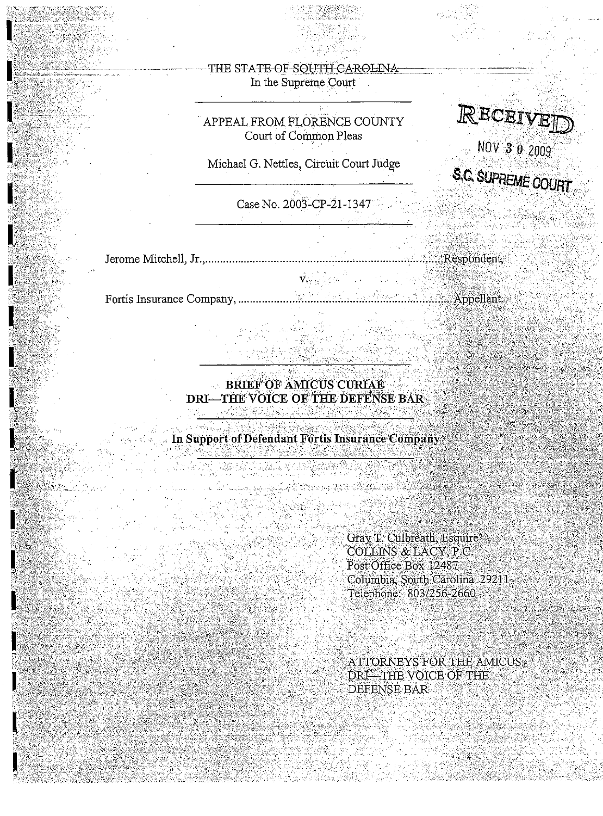# THE STATE OF SOUTH-CAROLINA In the Supreme Court

# . APPEAL FROM FLORENCE COUNTY Court of Common Pleas

Michael G. Nettles, Circuit Court Judge

 $Case No. 2003-CP-21-1347$ 

Jerome Mitchell,

.' "." ,

 $\mathbb{R}$ ECEIVE

 $NOV$  3 0 2009

S.~ **SUPREME**~URT -- , .,"" "- ' .. ,,- -,,",,' " -, ' , ., ,,,'

Fortis Insurance Company,

 $\mathbf{V}_{\mathrm{V},\mathrm{S}}$  of  $\mathbb{R}^{N\times N}$  and  $\mathbb{R}^{N}$ 

the algherical property

**BRIEF OF AMICUS CURIAE** DRI-THE VOICE OF THE DEFENSE BAR 

In Support of Defendant Fortis Insurance Company

Gray T. Culbreath, Esquire COLLINS & LACY, P.C. Post Office Box 12487 Columbia, South Carolina 29211 Telephone: 803/256-2660

ATTORNEYS FOR THE AMICUS DRI-THE VOICE OF THE DEFENSE BAR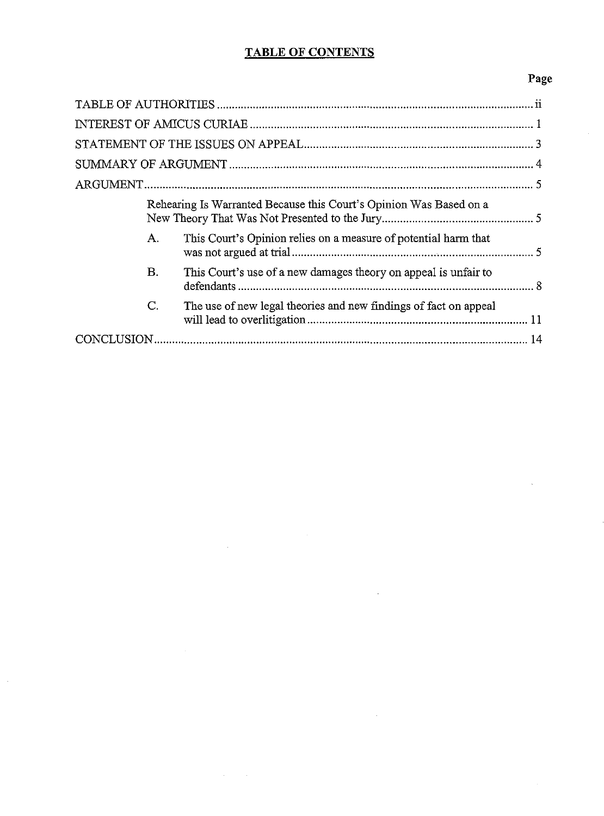# **TABLE OF CONTENTS**

# **Page**

| Rehearing Is Warranted Because this Court's Opinion Was Based on a<br>This Court's Opinion relies on a measure of potential harm that<br>A.<br>В.<br>This Court's use of a new damages theory on appeal is unfair to<br>$\mathsf{C}.$<br>The use of new legal theories and new findings of fact on appeal |  |  |  |  |  |  |  |
|-----------------------------------------------------------------------------------------------------------------------------------------------------------------------------------------------------------------------------------------------------------------------------------------------------------|--|--|--|--|--|--|--|
|                                                                                                                                                                                                                                                                                                           |  |  |  |  |  |  |  |
|                                                                                                                                                                                                                                                                                                           |  |  |  |  |  |  |  |
|                                                                                                                                                                                                                                                                                                           |  |  |  |  |  |  |  |
|                                                                                                                                                                                                                                                                                                           |  |  |  |  |  |  |  |
|                                                                                                                                                                                                                                                                                                           |  |  |  |  |  |  |  |
|                                                                                                                                                                                                                                                                                                           |  |  |  |  |  |  |  |
|                                                                                                                                                                                                                                                                                                           |  |  |  |  |  |  |  |
|                                                                                                                                                                                                                                                                                                           |  |  |  |  |  |  |  |
|                                                                                                                                                                                                                                                                                                           |  |  |  |  |  |  |  |

 $\overline{a}$ 

 $\sim$ 

 $\hat{\mathcal{A}}$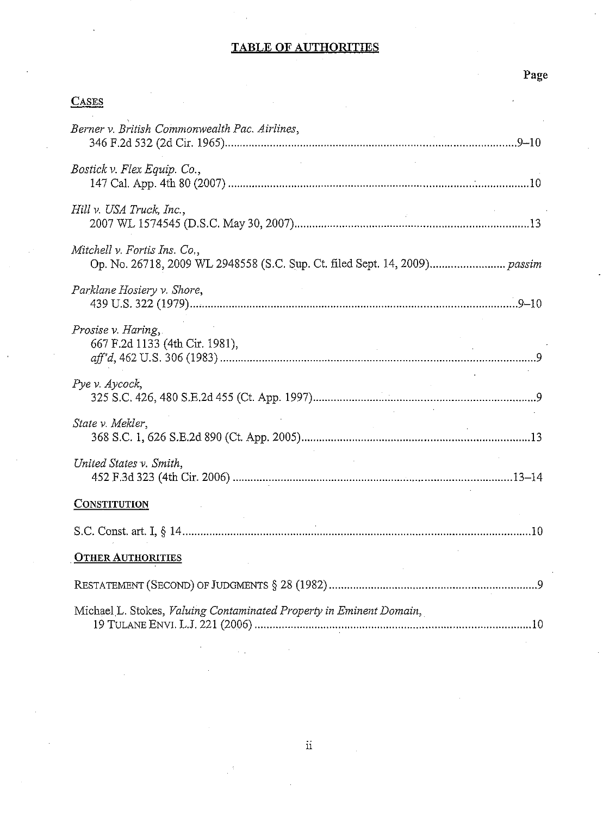## **TABLE OF AUTHORITIES**

# Page

# **CASES**

| Berner v. British Commonwealth Pac. Airlines,                       |  |  |  |  |  |
|---------------------------------------------------------------------|--|--|--|--|--|
| Bostick v. Flex Equip. Co.,                                         |  |  |  |  |  |
| Hill v. USA Truck, Inc.,                                            |  |  |  |  |  |
| Mitchell v. Fortis Ins. Co.,                                        |  |  |  |  |  |
| Parklane Hosiery v. Shore,                                          |  |  |  |  |  |
| Prosise v. Haring,<br>667 F.2d 1133 (4th Cir. 1981),                |  |  |  |  |  |
| Pye v. Aycock,                                                      |  |  |  |  |  |
| State v. Mekler,                                                    |  |  |  |  |  |
| United States v. Smith,                                             |  |  |  |  |  |
| <b>CONSTITUTION</b>                                                 |  |  |  |  |  |
|                                                                     |  |  |  |  |  |
| <b>OTHER AUTHORITIES</b>                                            |  |  |  |  |  |
|                                                                     |  |  |  |  |  |
| Michael L. Stokes, Valuing Contaminated Property in Eminent Domain, |  |  |  |  |  |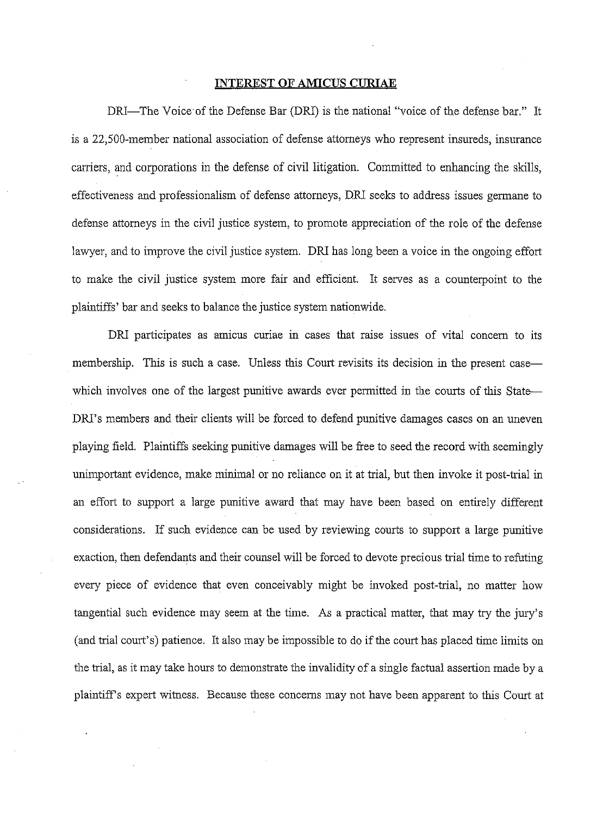#### **INTEREST OF AMICUS CURIAE**

DRI-The Voice of the Defense Bar (DRI) is the national "voice of the defense bar." It is a 22,SOO-member national association of defense attomeys who represent insureds, insurance carriers, and corporations in the defense of civil litigation. Committed to enhancing the skills, effectiveness and professionalism of defense attomeys, DRI seeks to address issues germane to defense attomeys in the civil justice system, to promote appreciation of the role of the defense lawyer, and to improve the civil justice system. DRI has long been a voice in the ongoing effort to make the civil justice system more fair and efficient. It serves as a counterpoint to the plaintiffs' bar and seeks to balance the justice system nationwide.

DRI participates as amicus curiae in cases that raise issues of vital concem to its membership. This is such a case. Unless this Court revisits its decision in the present case which involves one of the largest punitive awards ever permitted in the courts of this State-DRI's members and their clients will be forced to defend punitive damages cases on an uneven playing field. Plaintiffs seeking punitive damages will be free to seed the record with seemingly unimportant evidence, make minimal or no reliance on it at trial, but then invoke it post-trial in an effort to support a large punitive award that may have been based on entirely different considerations. If such evidence can be used by reviewing courts to support a large punitive exaction, then defendants and their counsel will be forced to devote precious trial time to refuting every piece of evidence that even conceivably might be invoked post-trial, no matter how tangential such evidence may seem at the time. As a practical matter, that may try the jury's (and trial court's) patience. It also may be impossible to do if the court has placed time limits on the trial, as it may take hours to demonstrate the invalidity of a single factual assertion made by a plaintiffs expert wituess. Because these concems may not have been apparent to this Court at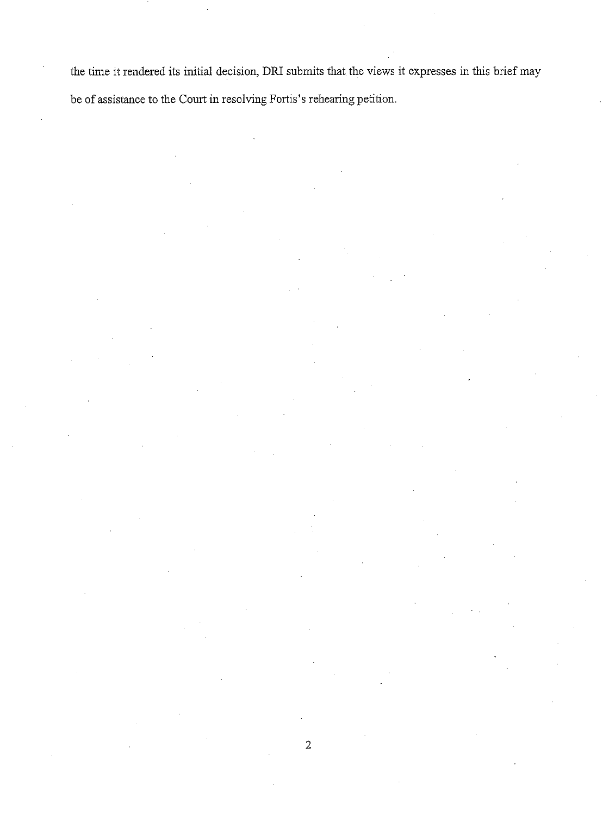the time it rendered its initial decision, DRI submits that the views it expresses in this brief may be of assistance to the Court in resolving Fortis's rehearing petition.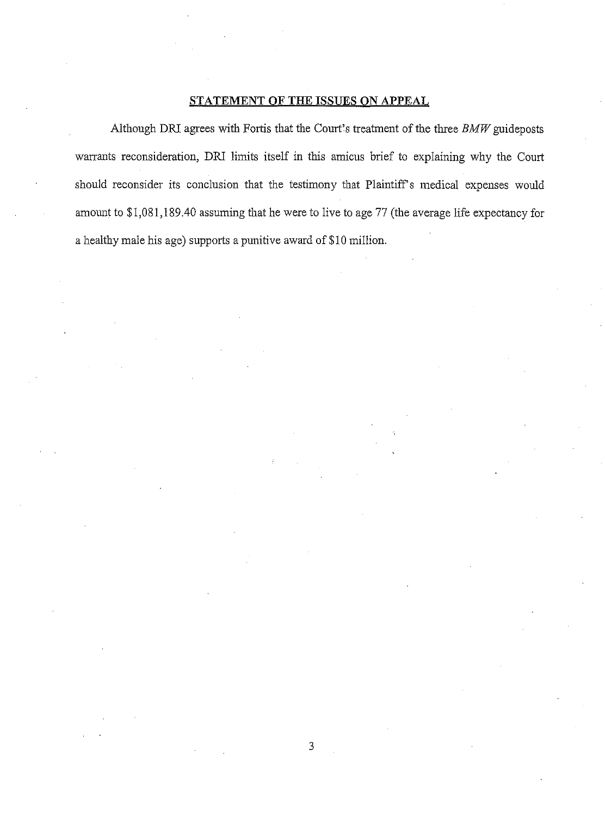#### **STATEMENT OF THE ISSUES ON APPEAL**

Although DRI agrees with Fortis that the Court's treatment of the three *BMW* guideposts warrants reconsideration, DRI limits itself in this amicus brief to explaining why the Court should reconsider its conclusion that the testimony that Plaintiff's medical expenses would amount to \$1,081,189.40 assuming that he were to live to age 77 (the average life expectancy for a healthy male his age) supports a punitive award of \$10 million.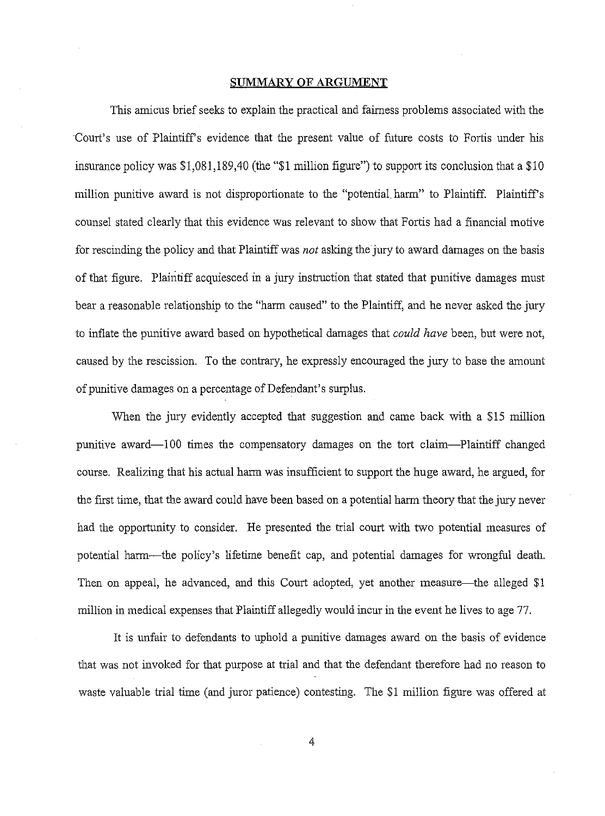#### **SUMMARY OF ARGUMENT**

This amicus briefseeks to explain the practical and fairness problems associated with the 'Court's use of Plaintiffs evidence that the present value of future costs to Fortis under his insurance policy was \$1,081,189,40 (the "\$1 million figure") to support its conclusion that a \$10 million punitive award is not disproportionate to the "potential harm" to Plaintiff. Plaintiff's counsel stated clearly that this evidence was relevant to show that Fortis had a financial motive for rescinding the policy and that Plaintiffwas *not* asking the jury to award damages on the basis of that figure. Plaintiff acquiesced in a jury instruction that stated that punitive damages must bear a reasonable relationship to the "harm caused" to the Plaintiff, and he never asked the jury to inflate the punitive award based on hypothetical damages that *could have* been, but were not, caused by the rescission. To the contrary, he expressly encouraged the jury to base the amount of punitive damages on a percentage of Defendant's surplus.

When the jury evidently accepted that suggestion and came back with a \$15 million punitive award-100 times the compensatory damages on the tort claim-Plaintiff changed course. Realizing that his actual harm was insufficient to support the huge award, he argued, for the first time, that the award could have been based on a potential harm theory that the jury never had the opportunity to consider. He presented the trial court with two potential measures of potential harm-the policy's lifetime benefit cap, and potential damages for wrongful death. Then on appeal, he advanced, and this Court adopted, yet another measure—the alleged \$1 million in medical expenses that Plaintiff allegedly would incur in the event he lives to age 77.

It is unfair to defendants to uphold a punitive damages award on the basis of evidence that was not invoked for that purpose at trial and that the defendant therefore had no reason to waste valuable trial time (and juror patience) contesting. The \$1 million figure was offered at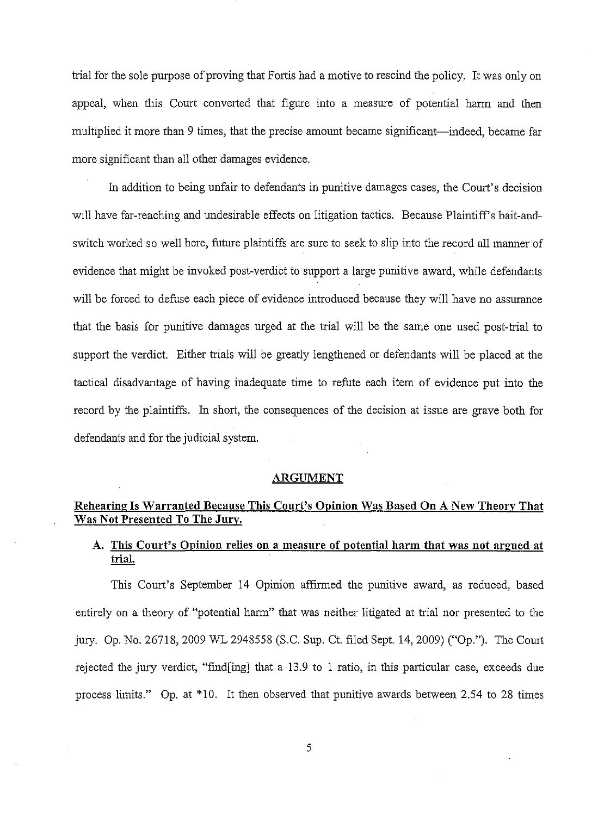trial for the sole purpose of proving that Fortis had a motive to rescind the policy. It was only on appeal, when this Court converted that figure into a measure of potential harm and then multiplied it more than 9 times, that the precise amount became significant—indeed, became far more significant than all other damages evidence.

In addition to being unfair to defendants in punitive damages cases, the Court's decision will have far-reaching and undesirable effects on litigation tactics. Because Plaintiff's bait-andswitch worked so well here, future plaintiffs are sure to seek to slip into the record all manner of evidence that might be invoked post-verdict to support a large punitive award, while defendants will be forced to defuse each piece of evidence introduced because they will have no assurance that the basis for punitive damages urged at the trial will be the same one used post-trial to support the verdict. Either trials will be greatly lengthened or defendants will be placed at the tactical disadvantage of having inadequate time to refute each item of evidence put into the record by the plaintiffs. In short, the consequences of the decision at issue are grave both for defendants and for the judicial system.

#### ARGUMENT

## Rehearing Is Warranted Because This Court's Opinion Was Based On A New Theory That Was Not Presented To The Jury.

## A. This Court's Opinion relies on a measure of potential harm that was not argued at trial.

This Court's September 14 Opinion affirmed the punitive award, as reduced, based entirely on a theory of "potential harm" that was neither litigated at trial nor presented to the jury. Op. No. 26718, 2009 WL 2948558 (S.C. Sup. Ct. filed Sept. 14,2009) ("Op."). The Court rejected the jury verdict, "find[ing] that a 13.9 to 1 ratio, in this particular case, exceeds due process limits." Op. at \*10. It then observed that punitive awards between 2.54 to 28 times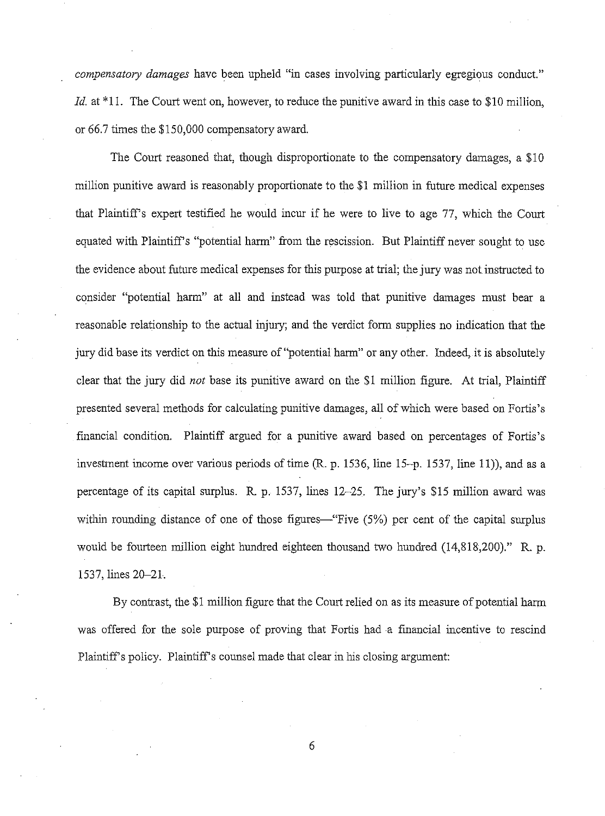*compensatory damages* have been upheld "in cases involving particularly egregious conduct." *Id.* at \*11. The Court went on, however, to reduce the punitive award in this case to \$10 million, or 66.7 times the \$150,000 compensatory award.

The Court reasoned that, though disproportionate to the compensatory damages, a \$10 million punitive award is reasonably proportionate to the \$1 million in future medical expenses that Plaintiffs expert testified he would incur if he were to live to age 77, which the Court equated with Plaintiffs "potential harm" from the rescission. But Plaintiff never sought to use the evidence about future medical expenses for this purpose at trial; the jury was not instructed to consider "potential harm" at all and instead was told that punitive damages must bear a reasonable relationship to the actual injury; and the verdict form supplies no indication that the jury did base its verdict on this measure of "potential harm" or any other. Indeed, it is absolutely clear that the jury did *not* base its punitive award on the \$1 million figure. At trial, Plaintiff presented several methods for calculating punitive damages, all of which were based on Fortis's financial condition. Plaintiff argued for a punitive award based on percentages of Fortis's investment income over various periods of time (R. p. 1536, line 15-p. 1537, line 11)), and as a percentage of its capital surplus. R. p. 1537, lines 12-25. The jury's \$15 million award was within rounding distance of one of those figures—"Five (5%) per cent of the capital surplus would be fourteen million eight hundred eighteen thousand two hundred (14,818,200)." R. p. 1537, lines 20-21.

By contrast, the \$1 million figure that the Court relied on as its measure of potential harm was offered for the sole purpose of proving that Fortis had a financial incentive to rescind Plaintiff's policy. Plaintiff's counsel made that clear in his closing argument: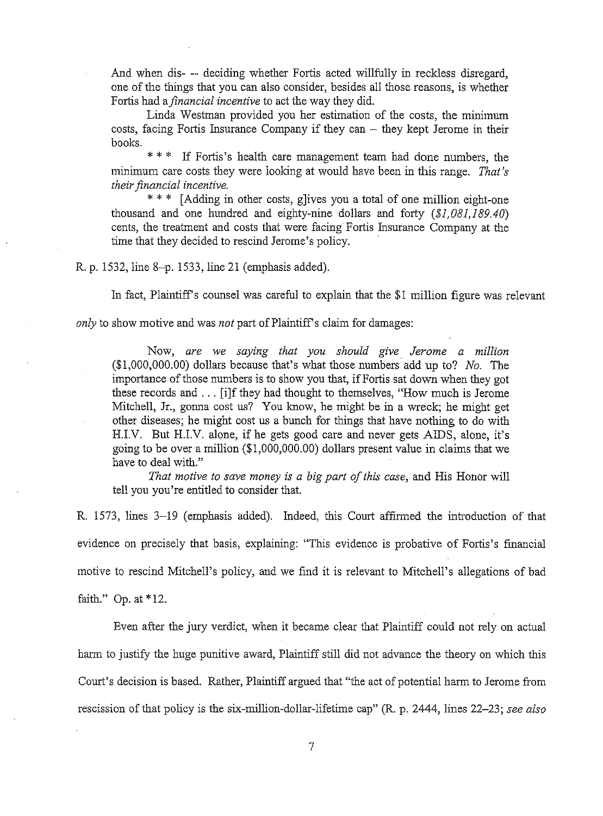And when dis- -- deciding whether Fortis acted willfully in reckless disregard, one of the things that you can also consider, besides all those reasons, is whether Fortis had a*financial'incentive* to act the way they did.

Linda Westman provided you her estimation of the costs, the minimum costs, facing Fortis Insurance Company if they can -- they kept Jerome in their books.

\* \* \* If Fortis's health care management team had done numbers, the minimum care costs they were looking at would have been in this range. *That's their financial incentive.* 

\* \* \* [Adding in other costs, g]ives you a total of one million eight-one thousand and one hundred and eighty-nine dollars and forty *(\$1,081,189.40)* cents, the treatment and costs that were facing Fortis Insurance Company at the time that they decided to rescind Jerome's policy.

R. p. 1532, line 8-p. 1533, line 21 (emphasis added).

In fact, Plaintiff's counsel was careful to explain that the \$1 million figure was relevant

*only* to show motive and was *not* part of Plaintiff's claim for damages:

Now, *are* we *saying that you should give Jerome a million* (\$1,000,000.00) dollars because that's what those numbers add up to? *No.* The importance of those numbers is to show you that, if Fortis sat down when they got these records and ... [i]f they had thought to themselves, "How much is Jerome Mitchell, Jr., gonna cost us? You know, he might be in a wreck; he might get other diseases; he might cost us a bunch for things that have nothing to do with H.LV. But H.LY. alone, if he gets good care and never gets AIDS, alone, it's going to be over a million (\$1,000,000.00) dollars present value in claims that we have to deal with."

*That motive to save money is a big part ofthis case,* and His Honor will tell you you're entitled to consider that.

R. 1573, lines 3–19 (emphasis added). Indeed, this Court affirmed the introduction of that evidence on precisely that basis, explaining: "This evidence is probative of Fortis's fmancial motive to rescind Mitchell's policy, and we find it is relevant to Mitchell's allegations of bad faith." Gp. at \*12.

Even after the jury verdict, when it became clear that Plaintiff could not rely on actual harm to justify the huge punitive award, Plaintiff still did not advance the theory on which this Court's decision is based. Rather, Plaintiff argued that "the act of potential hann to Jerome from rescission of that policy is the six-million-dollar-lifetime cap" (R. p. 2444, lines 22-23; *see also*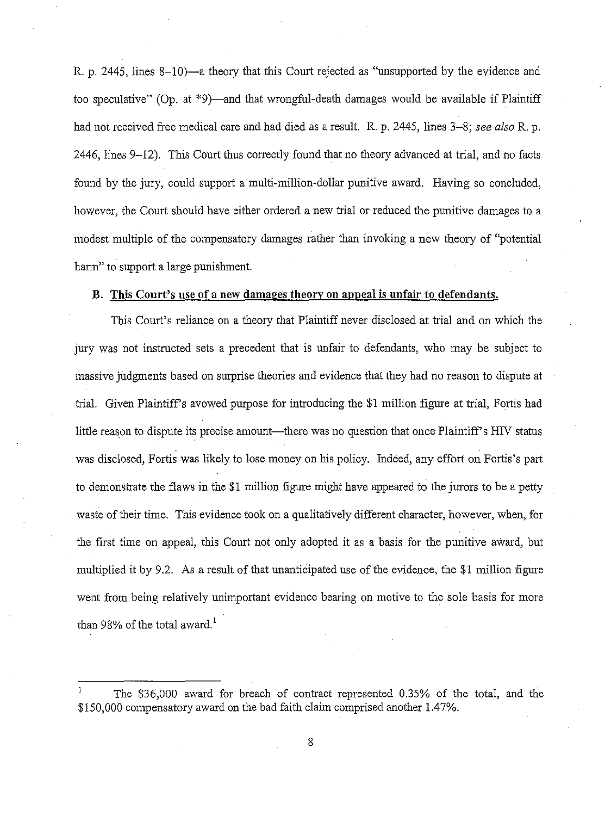R. p. 2445, lines 8-10)—a theory that this Court rejected as "unsupported by the evidence and too speculative" (Op. at  $*9$ )—and that wrongful-death damages would be available if Plaintiff had not received free medical care and had died as a result. R. p. 2445, lines 3-8; *see also* R. p. 2446, lines 9-12). This Court thus correctly found that no theory advanced at trial, and no facts found by the jury, could support a multi-million-dollar punitive award. Having so concluded, however, the Court should have either ordered a new trial or reduced the punitive damages to a modest multiple of the compensatory damages rather than invoking a new theory of "potential harm" to support a large punishment.

## B. This Court's use of a new damages theory on appeal is unfair to defendants.

This Court's reliance on a theory that Plaintiff never disclosed at trial and on which the jury was not instructed sets a precedent that is unfair to defendants, who may be subject to massive judgments based on surprise theories and evidence that they had no reason to dispute at trial. Given Plaintiffs avowed purpose for introducing the \$1 million figure at trial, Fortis had little reason to dispute its precise amount—there was no question that once Plaintiff's HIV status was disclosed, Fortis was likely to lose money on his policy. Indeed, any effort on Fortis's part to demonstrate the flaws in the \$1 million figure might have appeared to the jurors to be a petty waste of their time. This evidence took on a qualitatively different character, however, when, for the first time on appeal, this Court not only adopted it as a basis for the punitive award, but multiplied it by 9.2. As a result of that unanticipated use of the evidence, the \$1 million figure went from being relatively unimportant evidence bearing on motive to the sole basis for more than 98% of the total award.<sup>1</sup>

The \$36,000 award for breach of contract represented 0.35% of the total, and the \$150,000 compensatory award on the bad faith claim comprised another 1.47%.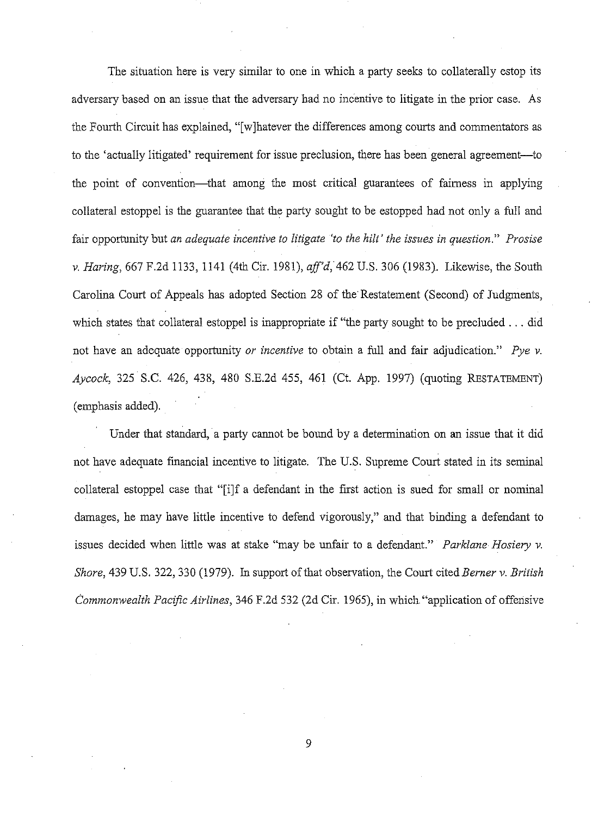The situation here is very similar to one in which a party seeks to collaterally estop its adversary based on an issue that the adversary had no incentive to litigate in the prior case. As the Fourth Circuit has explained, "[w]hatever the differences among courts and commentators as to the 'actually litigated' requirement for issue preclusion, there has been general agreement-to the point of convention-that among the most critical guarantees of fairness in applying collateral estoppel is the guarantee that the party sought to be estopped had not only a full and fair opportunity but *an adequate incentive to litigate 'to the hilt' the issues in question." Prosise v. Haring,* 667 F.2d 1133,1141 (4th Cir. 1981), *aff'd,* 462 U.S. 306 (1983). Likewise, the South Carolina Court of Appeals has adopted Section 28 of the Restatement (Second) of Judgments, which states that collateral estoppel is inappropriate if "the party sought to be precluded ... did not have an adequate opportunity *or incentive* to obtain a full and fair adjudication." *Pye v. Aycock,* 325 S.C. 426, 438, 480 S.E.2d 455, 461 (Ct. App. 1997) (quoting RESTATEMENT) (emphasis added).

Under that standard, a party cannot be bound by a determination on an issue that it did not have adequate financial incentive to litigate. The U.S. Supreme Court stated in its seminal collateral estoppel case that "[i]f a defendant in the first action is sued for small or nominal damages, he may have little incentive to defend vigorously," and that binding a defendant to issues decided when little was at stake "may be unfair to a defendant." *Parldane Hosiery v. Shore,* 439 U.S. 322, 330 (1979). In support of that observation, the Court cited *Berner v. British Commonwealth Pacific Airlines,* 346 F.2d 532 (2d Cir. 1965), in which "application of offensive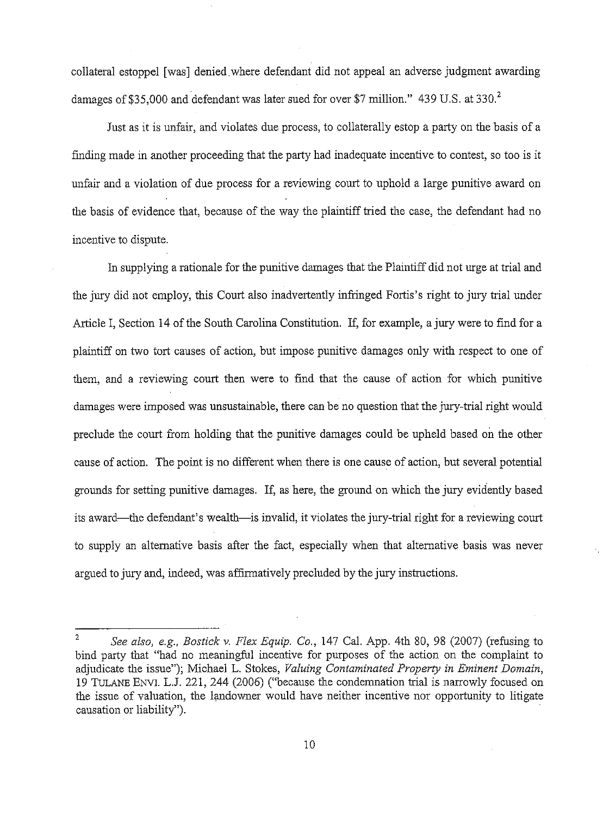collateral estoppel [was] denied.where defendant did not appeal an adverse judgment awarding damages of \$35,000 and defendant was later sued for over \$7 million." 439 U.S. at 330.<sup>2</sup>

Just as it is unfair, and violates due process, to collaterally estop a party on the basis of a finding made in another proceeding that the party had inadequate incentive to contest, so too is it unfair and a violation of due process for a reviewing conrt to uphold a large punitive award on the basis of evidence that, because of the way the plaintiff tried the case, the defendant had no incentive to dispute.

In supplying a rationale for the punitive damages that the Plaintiff did not urge at trial and the jury did not employ, this Court also inadvertently infringed Fortis's right to jury trial under Article I, Section 14 of the South Carolina Constitution. If, for example, a jury were to find for a plaintiff on two tort causes of action, but impose punitive damages only with respect to one of them, and a reviewing court then were to fmd that the cause of action for which punitive damages were imposed was unsustainable, there can be no question that the jury-trial right would preclude the court from holding that the punitive damages could be upheld based on the other cause of action. The point is no different when there is one cause of action, but several potential grounds for setting punitive damages. If, as here, the ground on which the jury evidently based its award—the defendant's wealth—is invalid, it violates the jury-trial right for a reviewing court to supply an altemative basis after the fact, especially when that altemative basis was never argued to jury and, indeed, was affirmatively precluded by the jury instructions.

<sup>2</sup> *See also, e.g., Bostick v. Flex Equip. Co.,* 147 Cal. App. 4th 80, 98 (2007) (refusing to bind patty that "had no meaningful incentive for purposes of the action on the complaint to adjudicate the issue"); Michael L. Stokes, *Valuing Contaminated Property in Eminent Domain,* 19 TULANE ENVL LJ. 221, 244 (2006) ("because the condemnation trial is narrowly focused on the issue of valuation, the landowner would have neither incentive nor opportunity to litigate causation or liability").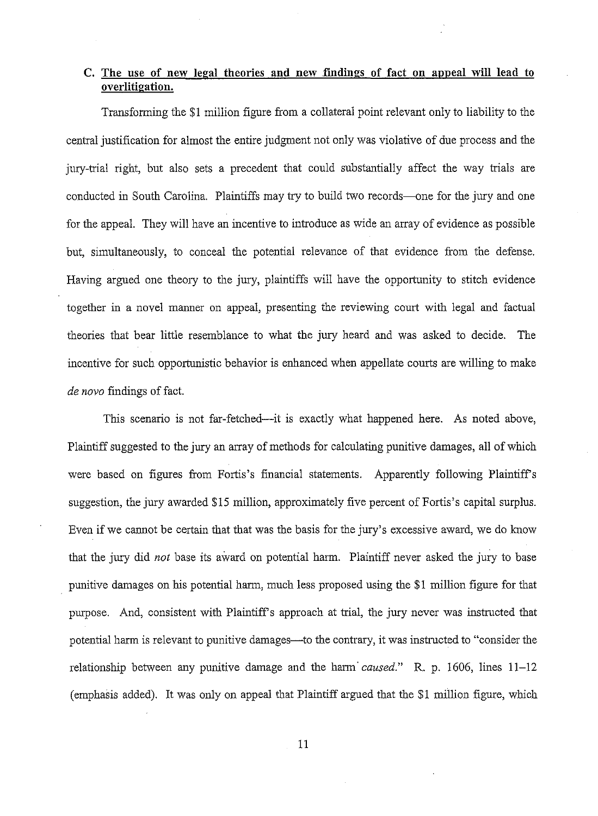# **C. The use of new legal theories and new findings of fact on appeal will lead to overlitigation.**

Transforming the \$1 million figure from a collateral point relevant ouly to liability to the central justification for almost the entire judgment not only was violative of due process and the jury-trial right, but also sets a precedent that could substantially affect the way trials are conducted in South Carolina. Plaintiffs may try to build two records—one for the jury and one for the appeal. They will have an incentive to introduce as wide an array of evidence as possible but, simultaneously, to conceal the potential relevance of that evidence from the defense. Having argued one theory to the jury, plaintiffs will have the opportunity to stitch evidence together in a novel manner on appeal, presenting the reviewing court with legal and factual theories that bear little resemblance to what the jury heard and was asked to decide. The incentive for such opportunistic behavior is enhanced when appellate courts are willing to make *de novo* findings of fact.

This scenario is not far-fetched—it is exactly what happened here. As noted above, Plaintiff suggested to the jury an array of methods for calculating punitive damages, all of which were based on figures from Fortis's financial statements. Apparently following Plaintiff's suggestion, the jury awarded \$15 million, approximately five percent of Fortis's capital surplus. Even if we cannot be certain that that was the basis for the jury's excessive award, we do know that the jury did *not* base its award on potential harm. Plaintiff never asked the jury to base punitive damages on his potential harm, much less proposed using the \$1 million figure for that purpose, And, consistent with Plaintiffs approach at trial, the jury never was instructed that potential harm is relevant to punitive damages—to the contrary, it was instructed to "consider the relationship between any punitive damage and the hann' *caused."* R. p. 1606, lines 11-12 (emphasis added). It was only on appeal that Plaintiff argued that the \$1 million figure, which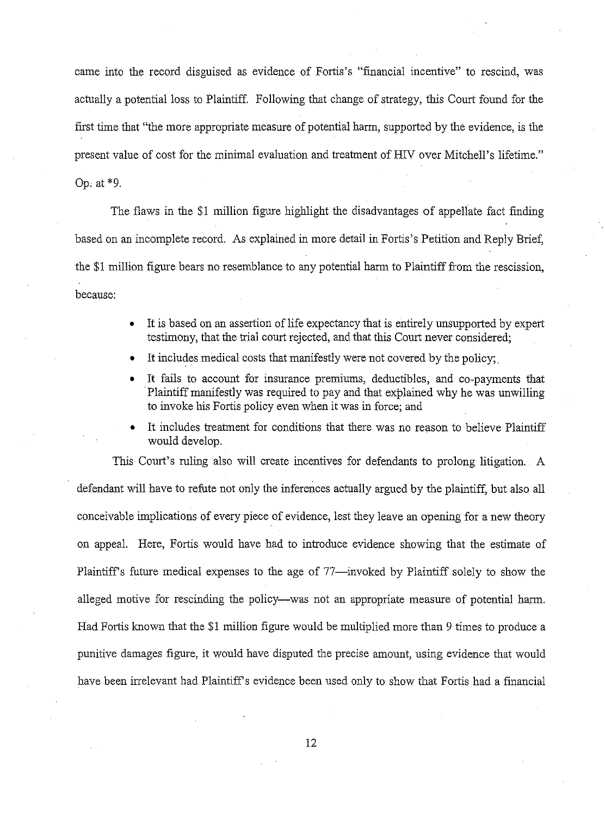came into the record disguised as evidence of Fortis's "financial incentive" to rescind, was actually a potential loss to Plaintiff. Following that change of strategy, this Court found for the first time that "the more appropriate measure of potential harm, supported by the evidence, is the present value of cost for the minimal evaluation and treatment of HIV over Mitchell's lifetime." Gp, at \*9.

The flaws in the \$1 million figure highlight the disadvantages of appellate fact finding based on an incomplete record. As explained in more detail in Fortis's Petition and Reply Brief, the \$1 million figure bears no resemblance to any potential harm to Plaintiff from the rescission, because:

- It is based on an assertion of life expectancy that is entirely unsupported by expert testimony, that the trial court rejected, and that this Court never considered;
- It includes medical costs that manifestly were not covered by the policy;
- It fails to account for insurance premiums, deductibles, and co-payments that Plaintiff manifestly was required to pay and that explained why he was unwilling to invoke his Fortis policy even when it was in force; and
- It includes treatment for conditions that there was no reason to believe Plaintiff would develop.

This Court's ruling also will create incentives for defendants to prolong litigation. A defendant will have to refute not only the inferences actually argued by the plaintiff, but also all conceivable implications of every piece of evidence, lest they leave an opening for a new theory on appeal. Here, Fortis would have had to introduce evidence showing that the estimate of Plaintiff's future medical expenses to the age of 77—invoked by Plaintiff solely to show the alleged motive for rescinding the policy—was not an appropriate measure of potential harm. Had Fortis known that the \$1 million figure would be multiplied more than 9 times to produce a punitive damages figure, it would have disputed the precise amount, using evidence that would have been irrelevant had Plaintiff's evidence been used only to show that Fortis had a financial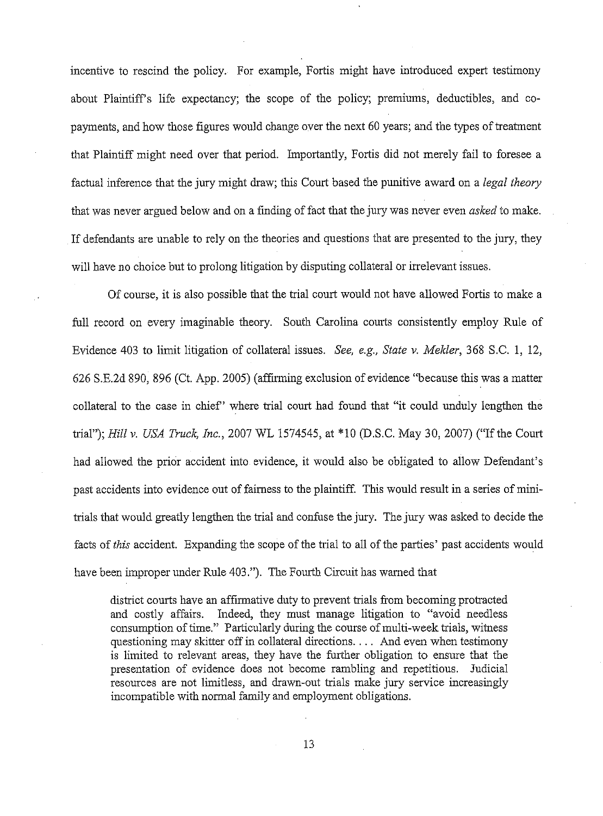incentive to rescind the policy. For example, Fortis might have introduced expert testimony about Plaintiffs life expectancy; the scope of the policy; premiums, deductibles, and copayments, and how those figures would change over the next 60 years; and the types of treatment that Plaintiff might need over that period. Importantly, Fortis did not merely fail to foresee a factual inference that the jury might draw; this Conrt based the punitive award on a *legal theory* that was never argued below and on a finding of fact that the jury was never even *asked* to make. If defendants are unable to rely on the theories and questions that are presented to the jury, they will have no choice but to prolong litigation by disputing collateral or irrelevant issues.

Of course, it is also possible that the trial court would not have allowed Fortis to make a full record on every imaginable theory. South Carolina courts consistently employ Rule of Evidence 403 to limit litigation of collateral issues. *See, e.g., State* v. *Melder,* 368 S.C. 1, 12, 626 S.E.2d 890, 896 (Ct. App. 2005) (affinning exclusion of evidence "because this was a matter collateral to the case in chief' where trial court had found that "it could unduly lengthen the trial"); *Hill* v. *USA Truck, Inc.,* 2007 WL 1574545, at \*10 (D.S.C. May 30, 2007) ("If the Court had allowed the prior accident into evidence, it would also be obligated to allow Defendant's past accidents into evidence out of fairness to the plaintiff. This would result in a series of minitrials that would greatly lengthen the trial and confuse the jury. The jury was asked to decide the facts of *this* accident. Expanding the scope of the trial to all of the parties' past accidents would have been improper under Rule 403."). The Fourth Circuit has warned that

district courts have an affirmative duty to prevent trials from becoming protracted and costly affairs. Indeed, they must manage litigation to "avoid needless consumption of time." Particularly during the course of multi-week trials, witness questioning may skitter off in collateral directions. . .. And even when testimony is limited to relevant areas, they have the further obligation to ensure that the presentation of evidence does not become rambling and repetitious. Judicial resources are not limitless, and drawn-out trials make jury service increasingly incompatible with normal family and employment obligations.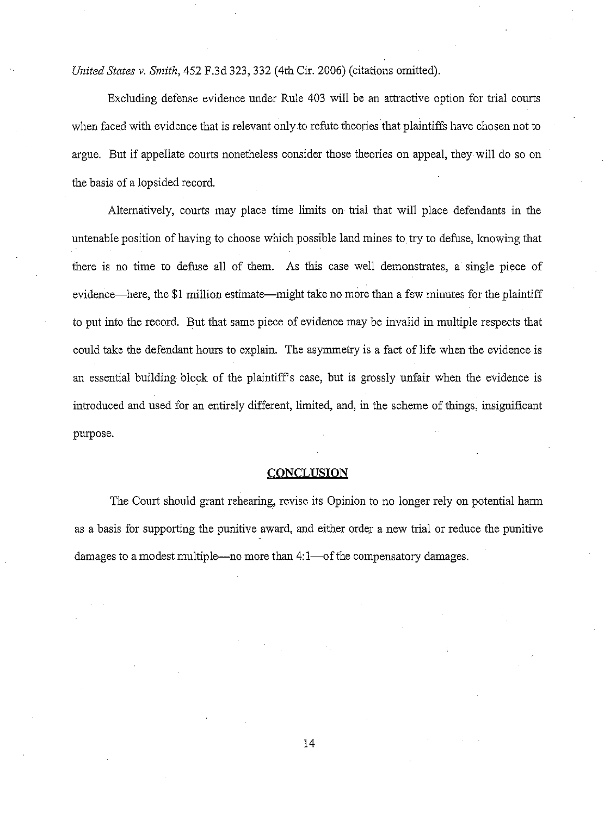*United States v. Smith,* 452 F.3d 323,332 (4th Cir. 2006) (citations omitted).

Excluding defense evidence under Rule 403 will be an attractive option for trial courts when faced with evidence that is relevant only to refute theories that plaintiffs have chosen not to argue. But if appellate courts nonetheless consider those theories on appeal, they will do so on the basis of a lopsided record.

Altematively, courts may place time limits on trial that will place defendants in the untenable position of having to choose which possible land mines to try to defuse, knowing that there is no time to defuse all of them. As this case well demonstrates, a single piece of evidence—here, the \$1 million estimate—might take no more than a few minutes for the plaintiff to put into the record. But that same piece of evidence may be invalid in multiple respects that could take the defendant hours to explain. The asymmetry is a fact of life when the evidence is an essential building block of the plaintiffs case, but is grossly unfair when the evidence is introduced and used for an entirely different, limited, and, in the scheme of things, insignificant purpose.

#### **CONCLUSION**

The Court should grant rehearing, revise its Opinion to no longer rely on potential harm as a basis for supporting the punitive award, and either order a new trial or reduce the punitive damages to a modest multiple—no more than 4:1—of the compensatory damages.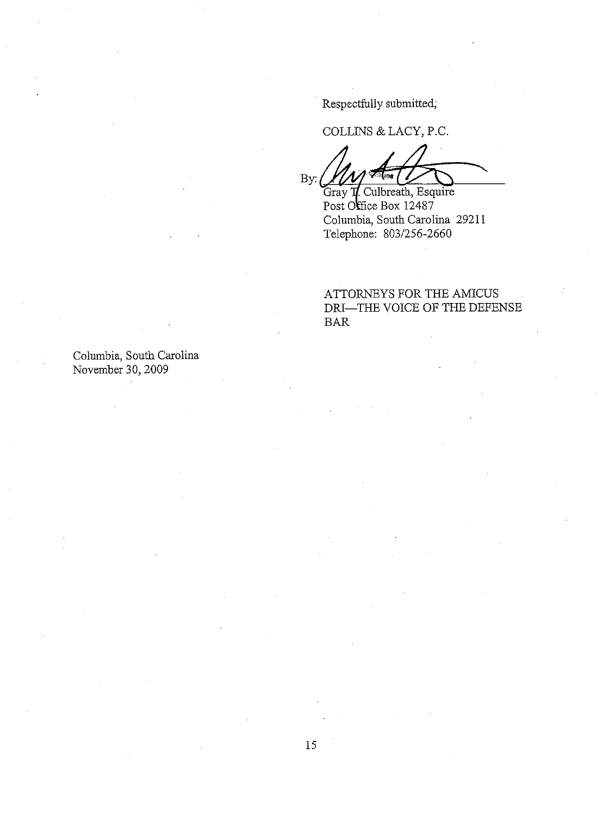Respectfully submitted;

COLLINS & LACY, P.C.

 $B$ y:  $\bigcup_{\alpha} \bigcup_{\alpha} \bigcup_{\alpha} \bigcup_{\alpha}$ 

Gray **T**. Culbreath, Esquire Post Office Box 12487 Columbia, South Carolina 29211 Telephone: 803/256-2660

ATTORNEYS FOR THE AMICUS DRI-THE VOICE OF THE DEFENSE BAR

Columbia, South Carolina November 30, 2009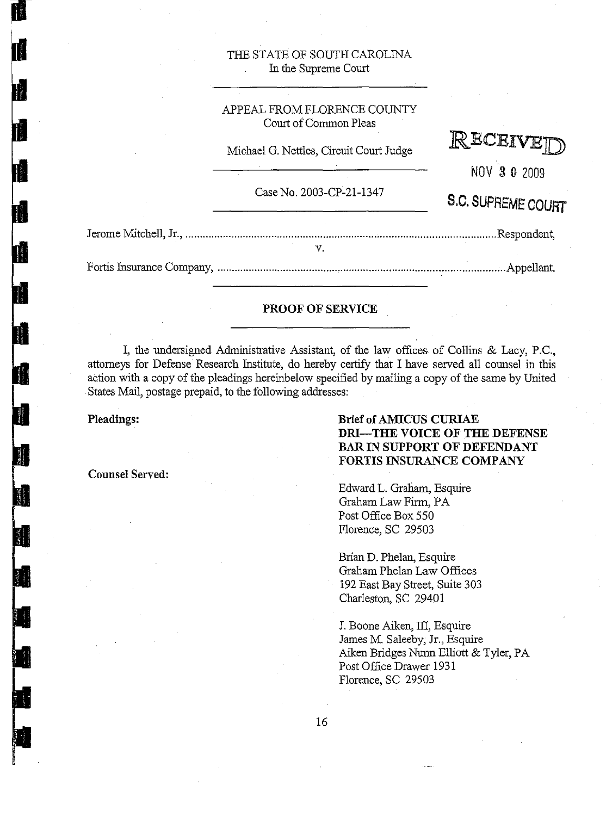## THE STATE OF SOUTH CAROLINA In the Supreme Court

## APPEAL FROM FLORENCE COUNTY Court of Common Pleas

Michael G. Nettles, Circuit Court Judge



NOV 3 0 2009

S.C. SUPREME COURT

Case No. 2003-CP-2l-1347

#### PROOF OF SERVICE

I, the undersigned Administrative Assistant, of the law offices· of Collins & Lacy, P.C., attorneys for Defense Research Institute, do hereby certify that I have served all counsel in this action with a copy of the pleadings hereinbelow specified by mailing a copy of the same by United States Mail, postage prepaid, to the following addresses:

Pleadings:

I

Counsel Served:

# Brief ofAMICUS CURIAE DRI-THE VOICE OF THE DEFENSE BAR IN SUPPORT OF DEFENDANT FORTIS INSURANCE COMPANY

Edward L. Graham, Esquire Graham Law Firm, PA Post Office Box 550 Florence, SC 29503

Brian D. Phelan, Esquire Graham Phelan Law Offices 192 East Bay Street, Suite 303 Charleston, SC 29401

J. Boone Aiken, III, Esquire James M. Saleeby, Jr., Esquire Aiken Bridges Nunn Elliott & Tyler, PA Post Office Drawer 1931 Florence, SC 29503